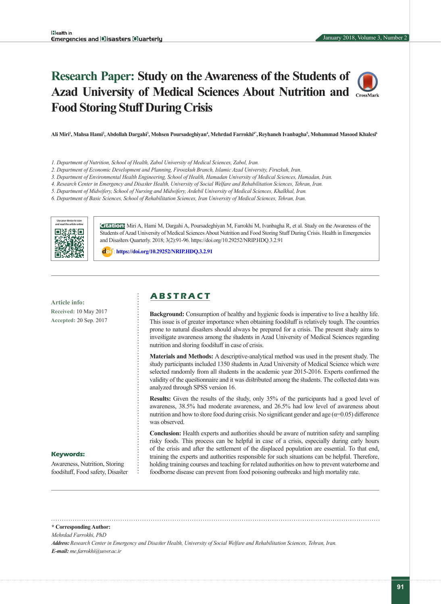# **Research Paper: Study on the Awareness of the Students of Azad University of Medical Sciences About Nutrition and Food Storing Stuff During Crisis**



Ali Miri<sup>ı</sup>, Mahsa Hami<sup>2</sup>, Abdollah Dargahi<sup>3</sup>, Mohsen Poursadeghiyan<sup>4</sup>, Mehrdad Farrokhi<sup>4</sup>°, Reyhaneh Ivanbagha<sup>5</sup>, Mohammad Masood Khalesi<sup>6</sup>

- *1. Department of Nutrition, School of Health, Zabol University of Medical Sciences, Zabol, Iran.*
- *2. Department of Economic Development and Planning, Firoozkuh Branch, Islamic Azad University, Firuzkuh, Iran.*
- *3. Department of Environmental Health Engineering, School of Health, Hamadan University of Medical Sciences, Hamadan, Iran.*
- *4. Research Center in Emergency and Disaster Health, University of Social Welfare and Rehabilitation Sciences, Tehran, Iran.*
- *5. Department of Midwifery, School of Nursing and Midwifery, Ardebil University of Medical Sciences, Khalkhal, Iran.*
- *6. Department of Basic Sciences, School of Rehabilitation Sciences, Iran University of Medical Sciences, Tehran, Iran.*



**Citation:** Miri A, Hami M, Dargahi A, Poursadeghiyan M, Farrokhi M, Ivanbagha R, et al. Study on the Awareness of the Students of Azad University of Medical Sciences About Nutrition and Food Storing Stuff During Crisis. Health in Emergencies and Disasters Quarterly. 2018; 3(2):91-96. https://doi.org/10.29252/NRIP.HDQ.3.2.91

: **<https://doi.org/10.29252/NRIP.HDQ.3.2.91>**

**Article info: Received:** 10 May 2017 **Accepted:** 20 Sep. 2017

# **A B S T R A C T**

**Background:** Consumption of healthy and hygienic foods is imperative to live a healthy life. This issue is of greater importance when obtaining foodstuff is relatively tough. The countries prone to natural disasters should always be prepared for a crisis. The present study aims to investigate awareness among the students in Azad University of Medical Sciences regarding nutrition and storing foodstuff in case of crisis.

**Materials and Methods:** A descriptive-analytical method was used in the present study. The study participants included 1350 students in Azad University of Medical Science which were selected randomly from all students in the academic year 2015-2016. Experts confirmed the validity of the questionnaire and it was distributed among the students. The collected data was analyzed through SPSS version 16.

Results: Given the results of the study, only 35% of the participants had a good level of awareness, 38.5% had moderate awareness, and 26.5% had low level of awareness about nutrition and how to store food during crisis. No significant gender and age  $(\alpha=0.05)$  difference was observed.

**Conclusion:** Health experts and authorities should be aware of nutrition safety and sampling risky foods. This process can be helpful in case of a crisis, especially during early hours of the crisis and after the settlement of the displaced population are essential. To that end, training the experts and authorities responsible for such situations can be helpful. Therefore, holding training courses and teaching for related authorities on how to prevent waterborne and foodborne disease can prevent from food poisoning outbreaks and high mortality rate.

#### **Keywords:**

Awareness, Nutrition, Storing foodstuff, Food safety, Disaster

**\* Corresponding Author:**

*Mehrdad Farrokhi, PhD*

*Address:Research Center in Emergency and Disaster Health, University of Social Welfare and Rehabilitation Sciences, Tehran, Iran. E-mail: me.farrokhi@uswr.ac.ir*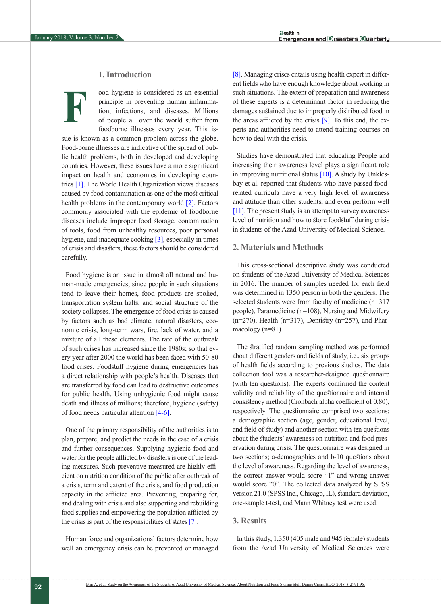**F**

# **1. Introduction**

ood hygiene is considered as an essential principle in preventing human inflammation, infections, and diseases. Millions of people all over the world suffer from foodborne illnesses every year. This is-

sue is known as a common problem across the globe. Food-borne illnesses are indicative of the spread of public health problems, both in developed and developing countries. However, these issues have a more significant impact on health and economics in developing countries [\[1\]](#page-4-0). The World Health Organization views diseases caused by food contamination as one of the most critical health problems in the contemporary world [\[2\]](#page-4-1). Factors commonly associated with the epidemic of foodborne diseases include improper food storage, contamination of tools, food from unhealthy resources, poor personal hygiene, and inadequate cooking [\[3\],](#page-4-2) especially in times of crisis and disasters, these factors should be considered carefully.

Food hygiene is an issue in almost all natural and human-made emergencies; since people in such situations tend to leave their homes, food products are spolied, transportation system halts, and social structure of the society collapses. The emergence of food crisis is caused by factors such as bad climate, natural disasters, economic crisis, long-term wars, fire, lack of water, and a mixture of all these elements. The rate of the outbreak of such crises has increased since the 1980s; so that every year after 2000 the world has been faced with 50-80 food crises. Foodstuff hygiene during emergencies has a direct relationship with people's health. Diseases that are transferred by food can lead to destructive outcomes for public health. Using unhygienic food might cause death and illness of millions; therefore, hygiene (safety) of food needs particular attention [4-6].

One of the primary responsibility of the authorities is to plan, prepare, and predict the needs in the case of a crisis and further consequences. Supplying hygienic food and water for the people afflicted by disasters is one of the leading measures. Such preventive measured are highly efficient on nutrition condition of the public after outbreak of a crisis, term and extent of the crisis, and food production capacity in the afflicted area. Preventing, preparing for, and dealing with crisis and also supporting and rebuilding food supplies and empowering the population afflicted by the crisis is part of the responsibilities of states [\[7\]](#page-4-3).

Human force and organizational factors determine how well an emergency crisis can be prevented or managed [\[8\].](#page-4-4) Managing crises entails using health expert in different fields who have enough knowledge about working in such situations. The extent of preparation and awareness of these experts is a determinant factor in reducing the damages sustained due to improperly distributed food in the areas afflicted by the crisis [\[9\]](#page-4-5). To this end, the experts and authorities need to attend training courses on how to deal with the crisis.

Studies have demonstrated that educating People and increasing their awareness level plays a significant role in improving nutritional status [\[10\]](#page-4-6). A study by Unklesbay et al. reported that students who have passed foodrelated curricula have a very high level of awareness and attitude than other students, and even perform well [11]. The present study is an attempt to survey awareness level of nutrition and how to store foodstuff during crisis in students of the Azad University of Medical Science.

## **2. Materials and Methods**

This cross-sectional descriptive study was conducted on students of the Azad University of Medical Sciences in 2016. The number of samples needed for each field was determined in 1350 person in both the genders. The selected students were from faculty of medicine (n=317 people), Paramedicine (n=108), Nursing and Midwifery  $(n=270)$ , Health  $(n=317)$ , Dentistry  $(n=257)$ , and Pharmacology (n=81).

The stratified random sampling method was performed about different genders and fields of study, i.e., six groups of health fields according to previous studies. The data collection tool was a researcher-designed questionnaire (with ten questions). The experts confirmed the content validity and reliability of the questionnaire and internal consistency method (Cronbach alpha coefficient of 0.80), respectively. The questionnaire comprised two sections; a demographic section (age, gender, educational level, and field of study) and another section with ten questions about the students' awareness on nutrition and food preservation during crisis. The questionnaire was designed in two sections; a-demographics and b-10 questions about the level of awareness. Regarding the level of awareness, the correct answer would score "1" and wrong answer would score "0". The collected data analyzed by SPSS version 21.0 (SPSS Inc., Chicago, IL), standard deviation, one-sample t-test, and Mann Whitney test were used.

## **3. Results**

In this study, 1,350 (405 male and 945 female) students from the Azad University of Medical Sciences were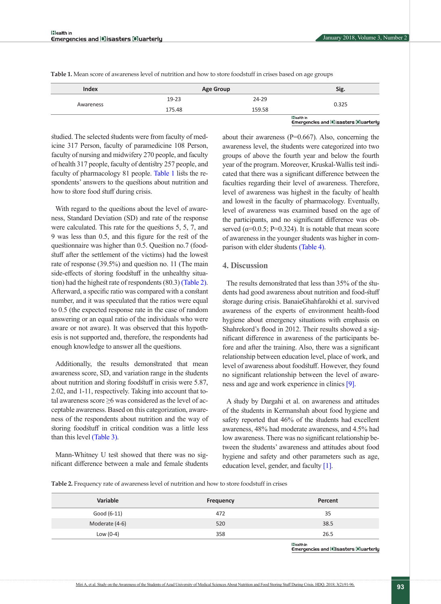Emergencles and DIsasters Ouarterly

| <b>Index</b> | <b>Age Group</b> |        | Sig.              |
|--------------|------------------|--------|-------------------|
| Awareness    | $19 - 23$        | 24-29  | 0.325             |
|              | 175.48           | 159.58 |                   |
|              |                  |        | lala di Indonesia |

<span id="page-2-0"></span>**Table 1.** Mean score of awareness level of nutrition and how to store foodstuff in crises based on age groups

studied. The selected students were from faculty of medicine 317 Person, faculty of paramedicine 108 Person, faculty of nursing and midwifery 270 people, and faculty of health 317 people, faculty of dentistry 257 people, and faculty of pharmacology 81 people. [Table 1](#page-2-0) lists the respondents' answers to the questions about nutrition and how to store food stuff during crisis.

With regard to the questions about the level of awareness, Standard Deviation (SD) and rate of the response were calculated. This rate for the questions 5, 5, 7, and 9 was less than 0.5, and this figure for the rest of the questionnaire was higher than 0.5. Question no.7 (foodstuff after the settlement of the victims) had the lowest rate of response (39.5%) and question no. 11 (The main side-effects of storing foodstuff in the unhealthy situation) had the highest rate of respondents (80.3) [\(Table 2\)](#page-2-1). Afterward, a specific ratio was compared with a constant number, and it was speculated that the ratios were equal to 0.5 (the expected response rate in the case of random answering or an equal ratio of the individuals who were aware or not aware). It was observed that this hypothesis is not supported and, therefore, the respondents had enough knowledge to answer all the questions.

Additionally, the results demonstrated that mean awareness score, SD, and variation range in the students about nutrition and storing foodstuff in crisis were 5.87, 2.02, and 1-11, respectively. Taking into account that total awareness score ≥6 was considered as the level of acceptable awareness. Based on this categorization, awareness of the respondents about nutrition and the way of storing foodstuff in critical condition was a little less than this level [\(Table 3\)](#page-3-0).

Mann-Whitney U test showed that there was no significant difference between a male and female students about their awareness ( $P=0.667$ ). Also, concerning the awareness level, the students were categorized into two groups of above the fourth year and below the fourth year of the program. Moreover, Kruskal-Wallis test indicated that there was a significant difference between the faculties regarding their level of awareness. Therefore, level of awareness was highest in the faculty of health and lowest in the faculty of pharmacology. Eventually, level of awareness was examined based on the age of the participants, and no significant difference was observed ( $\alpha$ =0.0.5; P=0.324). It is notable that mean score of awareness in the younger students was higher in comparison with elder students (Table 4).

#### **4. Discussion**

The results demonstrated that less than 35% of the students had good awareness about nutrition and food-stuff storage during crisis. BanaieGhahfarokhi et al. survived awareness of the experts of environment health-food hygiene about emergency situations with emphasis on Shahrekord's flood in 2012. Their results showed a significant difference in awareness of the participants before and after the training. Also, there was a significant relationship between education level, place of work, and level of awareness about foodstuff. However, they found no significant relationship between the level of awareness and age and work experience in clinics [\[9\]](#page-4-5).

A study by Dargahi et al. on awareness and attitudes of the students in Kermanshah about food hygiene and safety reported that 46% of the students had excellent awareness, 48% had moderate awareness, and 4.5% had low awareness. There was no significant relationship between the students' awareness and attitudes about food hygiene and safety and other parameters such as age, education level, gender, and faculty [\[1\]](#page-4-0).

<span id="page-2-1"></span>**Table 2.** Frequency rate of awareness level of nutrition and how to store foodstuff in crises

| Variable       | <b>Frequency</b> | Percent          |
|----------------|------------------|------------------|
| Good (6-11)    | 472              | 35               |
| Moderate (4-6) | 520              | 38.5             |
| Low $(0-4)$    | 358              | 26.5             |
|                |                  | <b>Eleath In</b> |

Emergencles and Disasters Ouarterly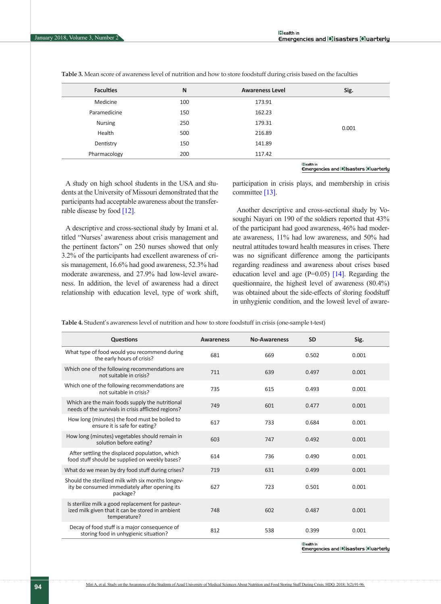| <b>Faculties</b> | N   | <b>Awareness Level</b> | Sig.  |
|------------------|-----|------------------------|-------|
| Medicine         | 100 | 173.91                 | 0.001 |
| Paramedicine     | 150 | 162.23                 |       |
| <b>Nursing</b>   | 250 | 179.31                 |       |
| Health           | 500 | 216.89                 |       |
| Dentistry        | 150 | 141.89                 |       |
| Pharmacology     | 200 | 117.42                 |       |

<span id="page-3-0"></span>**Table 3.** Mean score of awareness level of nutrition and how to store foodstuff during crisis based on the faculties

**Illealth** in Emergencies and DIsasters Oluarterly

A study on high school students in the USA and students at the University of Missouri demonstrated that the participants had acceptable awareness about the transferrable disease by food [\[12\]](#page-4-7).

A descriptive and cross-sectional study by Imani et al. titled "Nurses' awareness about crisis management and the pertinent factors" on 250 nurses showed that only 3.2% of the participants had excellent awareness of crisis management, 16.6% had good awareness, 52.3% had moderate awareness, and 27.9% had low-level awareness. In addition, the level of awareness had a direct relationship with education level, type of work shift,

participation in crisis plays, and membership in crisis committee [13].

Another descriptive and cross-sectional study by Vosoughi Nayari on 190 of the soldiers reported that 43% of the participant had good awareness, 46% had moderate awareness, 11% had low awareness, and 50% had neutral attitudes toward health measures in crises. There was no significant difference among the participants regarding readiness and awareness about crises based education level and age  $(P=0.05)$  [\[14\].](#page-4-8) Regarding the questionnaire, the highest level of awareness (80.4%) was obtained about the side-effects of storing foodstuff in unhygienic condition, and the lowest level of aware-

**Table 4.** Student's awareness level of nutrition and how to store foodstuff in crisis (one-sample t-test)

| Questions                                                                                                             | <b>Awareness</b> | <b>No-Awareness</b> | <b>SD</b>   | Sig.  |
|-----------------------------------------------------------------------------------------------------------------------|------------------|---------------------|-------------|-------|
| What type of food would you recommend during<br>the early hours of crisis?                                            | 681              | 669                 | 0.502       | 0.001 |
| Which one of the following recommendations are<br>not suitable in crisis?                                             | 711              | 639                 | 0.497       | 0.001 |
| Which one of the following recommendations are.<br>not suitable in crisis?                                            | 735              | 615                 | 0.493       | 0.001 |
| Which are the main foods supply the nutritional<br>needs of the survivals in crisis afflicted regions?                | 749              | 601                 | 0.477       | 0.001 |
| How long (minutes) the food must be boiled to<br>ensure it is safe for eating?                                        | 617              | 733                 | 0.684       | 0.001 |
| How long (minutes) vegetables should remain in<br>solution before eating?                                             | 603              | 747                 | 0.492       | 0.001 |
| After settling the displaced population, which<br>food stuff should be supplied on weekly bases?                      | 614              | 736                 | 0.490       | 0.001 |
| What do we mean by dry food stuff during crises?                                                                      | 719              | 631                 | 0.499       | 0.001 |
| Should the sterilized milk with six months longev-<br>ity be consumed immediately after opening its<br>package?       | 627              | 723                 | 0.501       | 0.001 |
| Is sterilize milk a good replacement for pasteur-<br>ized milk given that it can be stored in ambient<br>temperature? | 748              | 602                 | 0.487       | 0.001 |
| Decay of food stuff is a major consequence of<br>storing food in unhygienic situation?                                | 812              | 538                 | 0.399       | 0.001 |
|                                                                                                                       |                  |                     | lilealth In |       |

Emergencies and DIsasters Oluarterly